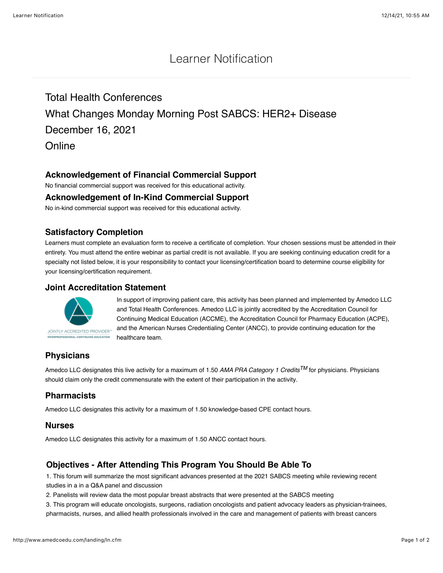# Learner Notification

Total Health Conferences What Changes Monday Morning Post SABCS: HER2+ Disease December 16, 2021 **Online** 

# **Acknowledgement of Financial Commercial Support**

No financial commercial support was received for this educational activity.

### **Acknowledgement of In-Kind Commercial Support**

No in-kind commercial support was received for this educational activity.

## **Satisfactory Completion**

Learners must complete an evaluation form to receive a certificate of completion. Your chosen sessions must be attended in their entirety. You must attend the entire webinar as partial credit is not available. If you are seeking continuing education credit for a specialty not listed below, it is your responsibility to contact your licensing/certification board to determine course eligibility for your licensing/certification requirement.

### **Joint Accreditation Statement**



In support of improving patient care, this activity has been planned and implemented by Amedco LLC and Total Health Conferences. Amedco LLC is jointly accredited by the Accreditation Council for Continuing Medical Education (ACCME), the Accreditation Council for Pharmacy Education (ACPE), and the American Nurses Credentialing Center (ANCC), to provide continuing education for the healthcare team.

# **Physicians**

Amedco LLC designates this live activity for a maximum of 1.50 *AMA PRA Category 1 CreditsTM* for physicians. Physicians should claim only the credit commensurate with the extent of their participation in the activity.

## **Pharmacists**

Amedco LLC designates this activity for a maximum of 1.50 knowledge-based CPE contact hours.

### **Nurses**

Amedco LLC designates this activity for a maximum of 1.50 ANCC contact hours.

## **Objectives - After Attending This Program You Should Be Able To**

1. This forum will summarize the most significant advances presented at the 2021 SABCS meeting while reviewing recent studies in a in a Q&A panel and discussion

2. Panelists will review data the most popular breast abstracts that were presented at the SABCS meeting

3. This program will educate oncologists, surgeons, radiation oncologists and patient advocacy leaders as physician-trainees, pharmacists, nurses, and allied health professionals involved in the care and management of patients with breast cancers